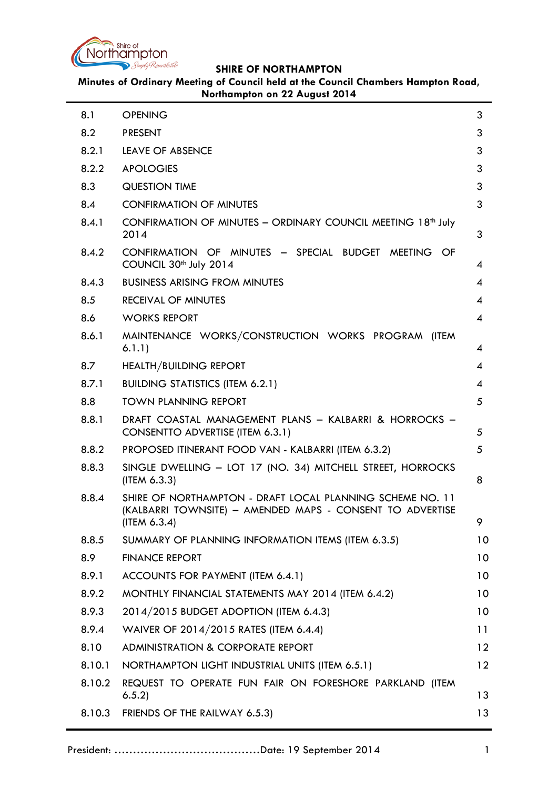

# **Minutes of Ordinary Meeting of Council held at the Council Chambers Hampton Road, Northampton on 22 August 2014**

| 8.1    | <b>OPENING</b>                                                                                                                         | 3               |
|--------|----------------------------------------------------------------------------------------------------------------------------------------|-----------------|
| 8.2    | <b>PRESENT</b>                                                                                                                         | 3               |
| 8.2.1  | <b>LEAVE OF ABSENCE</b>                                                                                                                | 3               |
| 8.2.2  | <b>APOLOGIES</b>                                                                                                                       | 3               |
| 8.3    | <b>QUESTION TIME</b>                                                                                                                   | 3               |
| 8.4    | <b>CONFIRMATION OF MINUTES</b>                                                                                                         | 3               |
| 8.4.1  | CONFIRMATION OF MINUTES - ORDINARY COUNCIL MEETING 18th July<br>2014                                                                   | 3               |
| 8.4.2  | CONFIRMATION OF MINUTES - SPECIAL BUDGET MEETING OF<br>COUNCIL 30 <sup>th</sup> July 2014                                              | 4               |
| 8.4.3  | <b>BUSINESS ARISING FROM MINUTES</b>                                                                                                   | 4               |
| 8.5    | <b>RECEIVAL OF MINUTES</b>                                                                                                             | 4               |
| 8.6    | <b>WORKS REPORT</b>                                                                                                                    | 4               |
| 8.6.1  | MAINTENANCE WORKS/CONSTRUCTION WORKS PROGRAM (ITEM<br>6.1.1)                                                                           | 4               |
| 8.7    | <b>HEALTH/BUILDING REPORT</b>                                                                                                          | 4               |
| 8.7.1  | <b>BUILDING STATISTICS (ITEM 6.2.1)</b>                                                                                                | 4               |
| 8.8    | <b>TOWN PLANNING REPORT</b>                                                                                                            | 5               |
| 8.8.1  | DRAFT COASTAL MANAGEMENT PLANS - KALBARRI & HORROCKS -<br>CONSENTTO ADVERTISE (ITEM 6.3.1)                                             | 5               |
| 8.8.2  | PROPOSED ITINERANT FOOD VAN - KALBARRI (ITEM 6.3.2)                                                                                    | 5               |
| 8.8.3  | SINGLE DWELLING - LOT 17 (NO. 34) MITCHELL STREET, HORROCKS<br>(IFEM 6.3.3)                                                            | 8               |
| 8.8.4  | SHIRE OF NORTHAMPTON - DRAFT LOCAL PLANNING SCHEME NO. 11<br>(KALBARRI TOWNSITE) - AMENDED MAPS - CONSENT TO ADVERTISE<br>(ITEM 6.3.4) | 9               |
| 8.8.5  | SUMMARY OF PLANNING INFORMATION ITEMS (ITEM 6.3.5)                                                                                     | 10              |
| 8.9    | <b>FINANCE REPORT</b>                                                                                                                  | 10 <sup>°</sup> |
| 8.9.1  | ACCOUNTS FOR PAYMENT (ITEM 6.4.1)                                                                                                      | 10 <sup>°</sup> |
| 8.9.2  | MONTHLY FINANCIAL STATEMENTS MAY 2014 (ITEM 6.4.2)                                                                                     | 10              |
| 8.9.3  | 2014/2015 BUDGET ADOPTION (ITEM 6.4.3)                                                                                                 | 10              |
| 8.9.4  | WAIVER OF 2014/2015 RATES (ITEM 6.4.4)                                                                                                 | 11              |
| 8.10   | <b>ADMINISTRATION &amp; CORPORATE REPORT</b>                                                                                           | 12              |
| 8.10.1 | NORTHAMPTON LIGHT INDUSTRIAL UNITS (ITEM 6.5.1)                                                                                        | 12              |
| 8.10.2 | REQUEST TO OPERATE FUN FAIR ON FORESHORE PARKLAND (ITEM<br>6.5.2)                                                                      | 13              |
| 8.10.3 | FRIENDS OF THE RAILWAY 6.5.3)                                                                                                          | 13              |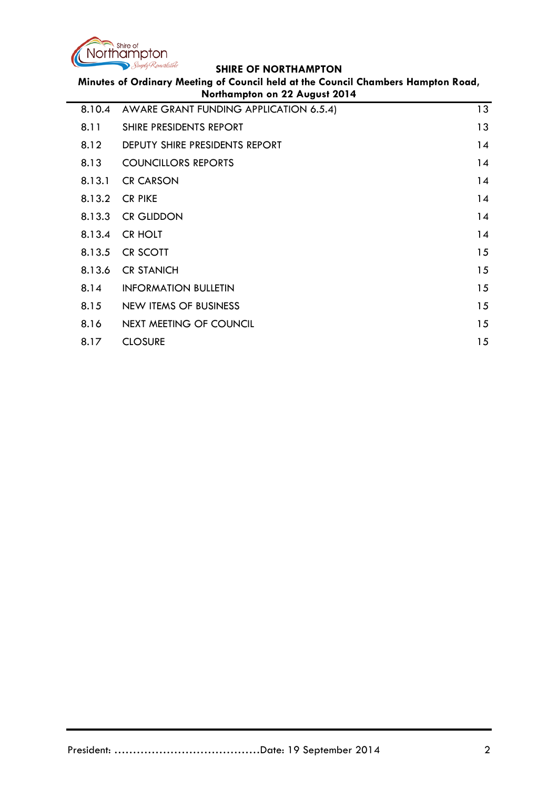

| Minutes of Ordinary Meeting of Council held at the Council Chambers Hampton Road,<br>Northampton on 22 August 2014 |    |  |  |
|--------------------------------------------------------------------------------------------------------------------|----|--|--|
| AWARE GRANT FUNDING APPLICATION 6.5.4)                                                                             | 13 |  |  |
| SHIRE PRESIDENTS REPORT                                                                                            | 13 |  |  |
| DEPUTY SHIRE PRESIDENTS REPORT                                                                                     | 14 |  |  |
| <b>COUNCILLORS REPORTS</b>                                                                                         | 14 |  |  |
| <b>CR CARSON</b>                                                                                                   | 14 |  |  |
| <b>CR PIKE</b>                                                                                                     | 14 |  |  |
| <b>CR GLIDDON</b>                                                                                                  | 14 |  |  |
| <b>CR HOLT</b>                                                                                                     | 14 |  |  |
| <b>CR SCOTT</b>                                                                                                    | 15 |  |  |
| <b>CR STANICH</b>                                                                                                  | 15 |  |  |
| <b>INFORMATION BULLETIN</b>                                                                                        | 15 |  |  |
| NEW ITEMS OF BUSINESS                                                                                              | 15 |  |  |
| NEXT MEETING OF COUNCIL                                                                                            | 15 |  |  |
| <b>CLOSURE</b>                                                                                                     | 15 |  |  |
|                                                                                                                    |    |  |  |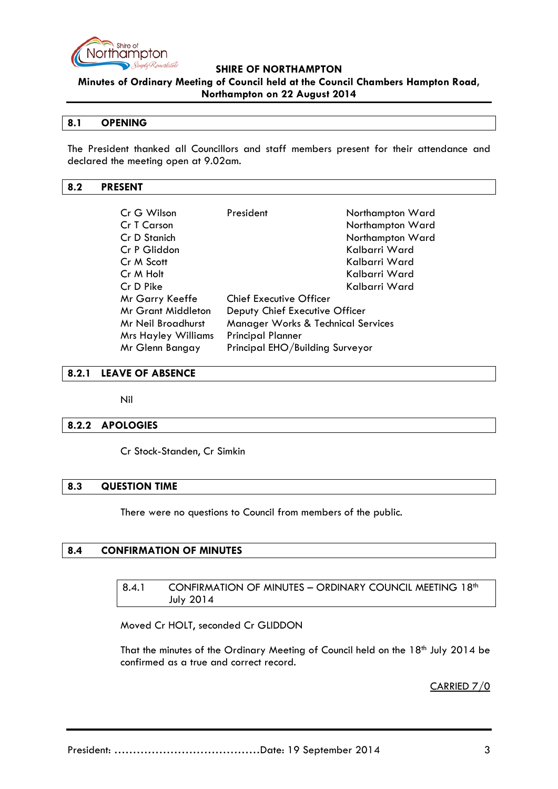

**Minutes of Ordinary Meeting of Council held at the Council Chambers Hampton Road, Northampton on 22 August 2014**

#### <span id="page-2-0"></span>**8.1 OPENING**

The President thanked all Councillors and staff members present for their attendance and declared the meeting open at 9.02am.

#### <span id="page-2-1"></span>**8.2 PRESENT**

| Cr G Wilson                                                         | President                       | Northampton Ward |
|---------------------------------------------------------------------|---------------------------------|------------------|
| Cr T Carson                                                         |                                 | Northampton Ward |
| Cr D Stanich                                                        |                                 | Northampton Ward |
| Cr P Gliddon                                                        |                                 | Kalbarri Ward    |
| Cr M Scott                                                          |                                 | Kalbarri Ward    |
| Cr M Holt                                                           |                                 | Kalbarri Ward    |
| Cr D Pike                                                           |                                 | Kalbarri Ward    |
| Mr Garry Keeffe                                                     | <b>Chief Executive Officer</b>  |                  |
| <b>Mr Grant Middleton</b>                                           | Deputy Chief Executive Officer  |                  |
| <b>Manager Works &amp; Technical Services</b><br>Mr Neil Broadhurst |                                 |                  |
| <b>Mrs Hayley Williams</b>                                          | <b>Principal Planner</b>        |                  |
| Mr Glenn Bangay                                                     | Principal EHO/Building Surveyor |                  |

#### <span id="page-2-2"></span>**8.2.1 LEAVE OF ABSENCE**

Nil

#### <span id="page-2-3"></span>**8.2.2 APOLOGIES**

Cr Stock-Standen, Cr Simkin

#### <span id="page-2-4"></span>**8.3 QUESTION TIME**

There were no questions to Council from members of the public.

### <span id="page-2-6"></span><span id="page-2-5"></span>**8.4 CONFIRMATION OF MINUTES**

8.4.1 CONFIRMATION OF MINUTES - ORDINARY COUNCIL MEETING 18th July 2014

Moved Cr HOLT, seconded Cr GLIDDON

That the minutes of the Ordinary Meeting of Council held on the 18<sup>th</sup> July 2014 be confirmed as a true and correct record.

CARRIED 7/0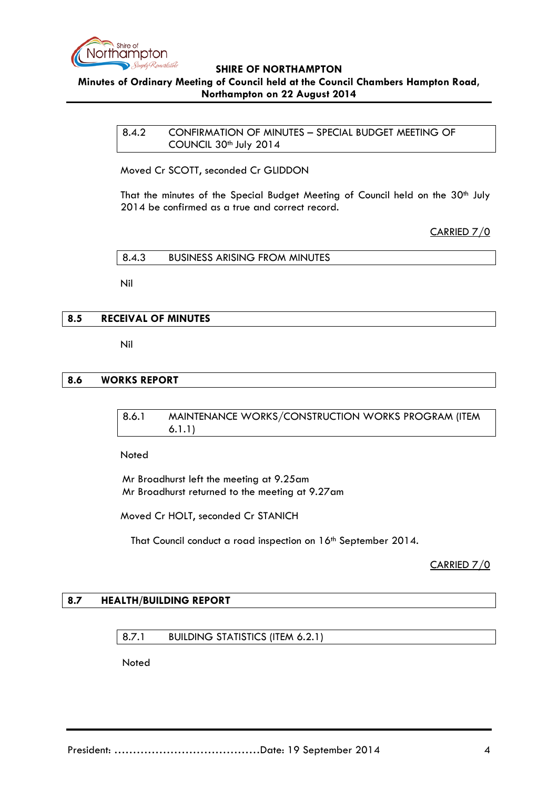

#### <span id="page-3-0"></span>**Minutes of Ordinary Meeting of Council held at the Council Chambers Hampton Road, Northampton on 22 August 2014**

8.4.2 CONFIRMATION OF MINUTES – SPECIAL BUDGET MEETING OF COUNCIL 30th July 2014

Moved Cr SCOTT, seconded Cr GLIDDON

That the minutes of the Special Budget Meeting of Council held on the 30<sup>th</sup> July 2014 be confirmed as a true and correct record.

CARRIED 7/0

<span id="page-3-1"></span>8.4.3 BUSINESS ARISING FROM MINUTES

Nil

### <span id="page-3-2"></span>**8.5 RECEIVAL OF MINUTES**

Nil

## <span id="page-3-4"></span><span id="page-3-3"></span>**8.6 WORKS REPORT**

8.6.1 MAINTENANCE WORKS/CONSTRUCTION WORKS PROGRAM (ITEM 6.1.1)

Noted

Mr Broadhurst left the meeting at 9.25am Mr Broadhurst returned to the meeting at 9.27am

Moved Cr HOLT, seconded Cr STANICH

That Council conduct a road inspection on 16<sup>th</sup> September 2014.

CARRIED 7/0

### <span id="page-3-6"></span><span id="page-3-5"></span>**8.7 HEALTH/BUILDING REPORT**

8.7.1 BUILDING STATISTICS (ITEM 6.2.1)

Noted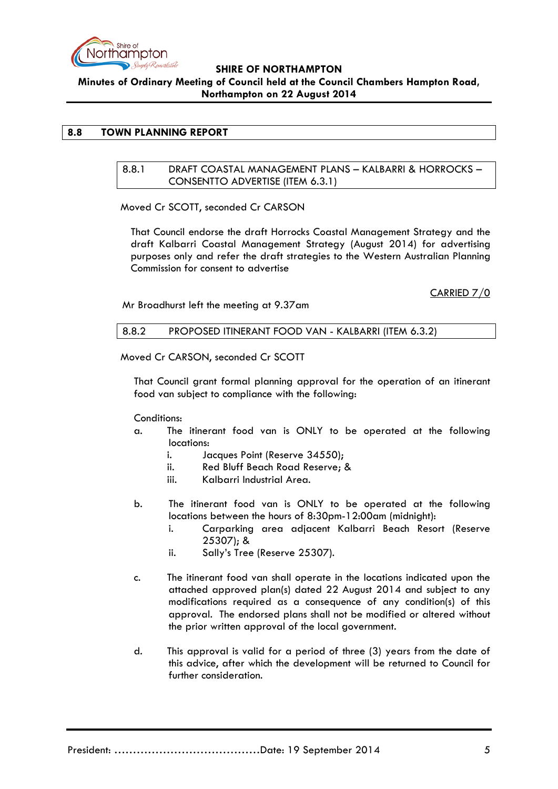

### <span id="page-4-1"></span><span id="page-4-0"></span>**8.8 TOWN PLANNING REPORT**

8.8.1 DRAFT COASTAL MANAGEMENT PLANS – KALBARRI & HORROCKS – CONSENTTO ADVERTISE (ITEM 6.3.1)

Moved Cr SCOTT, seconded Cr CARSON

That Council endorse the draft Horrocks Coastal Management Strategy and the draft Kalbarri Coastal Management Strategy (August 2014) for advertising purposes only and refer the draft strategies to the Western Australian Planning Commission for consent to advertise

CARRIED 7/0

Mr Broadhurst left the meeting at 9.37am

<span id="page-4-2"></span>8.8.2 PROPOSED ITINERANT FOOD VAN - KALBARRI (ITEM 6.3.2)

#### Moved Cr CARSON, seconded Cr SCOTT

That Council grant formal planning approval for the operation of an itinerant food van subject to compliance with the following:

#### Conditions:

- a. The itinerant food van is ONLY to be operated at the following locations:
	- i. Jacques Point (Reserve 34550);
	- ii. Red Bluff Beach Road Reserve; &
	- iii. Kalbarri Industrial Area.
- b. The itinerant food van is ONLY to be operated at the following locations between the hours of 8:30pm-12:00am (midnight):
	- i. Carparking area adjacent Kalbarri Beach Resort (Reserve 25307); &
	- ii. Sally's Tree (Reserve 25307).
- c. The itinerant food van shall operate in the locations indicated upon the attached approved plan(s) dated 22 August 2014 and subject to any modifications required as a consequence of any condition(s) of this approval. The endorsed plans shall not be modified or altered without the prior written approval of the local government.
- d. This approval is valid for a period of three (3) years from the date of this advice, after which the development will be returned to Council for further consideration.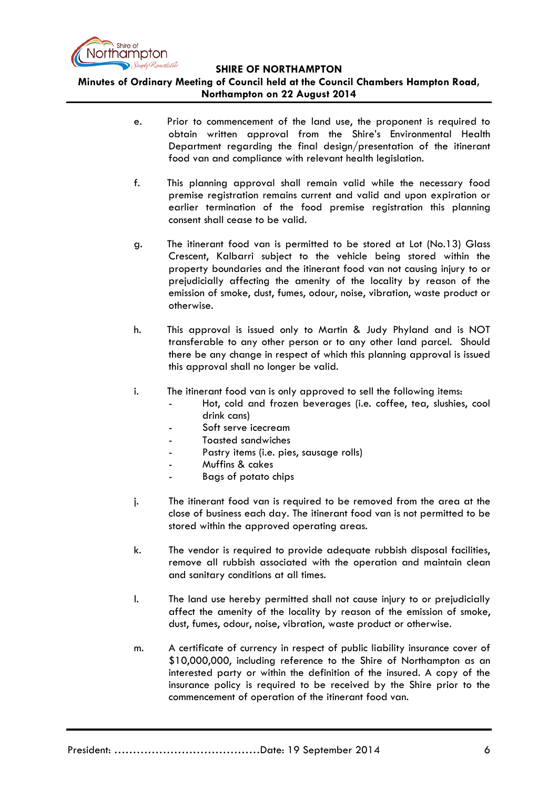

## **Minutes of Ordinary Meeting of Council held at the Council Chambers Hampton Road, Northampton on 22 August 2014**

- e. Prior to commencement of the land use, the proponent is required to obtain written approval from the Shire's Environmental Health Department regarding the final design/presentation of the itinerant food van and compliance with relevant health legislation.
- f. This planning approval shall remain valid while the necessary food premise registration remains current and valid and upon expiration or earlier termination of the food premise registration this planning consent shall cease to be valid.
- g. The itinerant food van is permitted to be stored at Lot (No.13) Glass Crescent, Kalbarri subject to the vehicle being stored within the property boundaries and the itinerant food van not causing injury to or prejudicially affecting the amenity of the locality by reason of the emission of smoke, dust, fumes, odour, noise, vibration, waste product or otherwise.
- h. This approval is issued only to Martin & Judy Phyland and is NOT transferable to any other person or to any other land parcel. Should there be any change in respect of which this planning approval is issued this approval shall no longer be valid.
- i. The itinerant food van is only approved to sell the following items:
	- Hot, cold and frozen beverages (i.e. coffee, tea, slushies, cool drink cans)
	- Soft serve icecream
	- Toasted sandwiches
	- Pastry items (i.e. pies, sausage rolls)
	- Muffins & cakes
	- Bags of potato chips
- j. The itinerant food van is required to be removed from the area at the close of business each day. The itinerant food van is not permitted to be stored within the approved operating areas.
- k. The vendor is required to provide adequate rubbish disposal facilities, remove all rubbish associated with the operation and maintain clean and sanitary conditions at all times.
- l. The land use hereby permitted shall not cause injury to or prejudicially affect the amenity of the locality by reason of the emission of smoke, dust, fumes, odour, noise, vibration, waste product or otherwise.
- m. A certificate of currency in respect of public liability insurance cover of \$10,000,000, including reference to the Shire of Northampton as an interested party or within the definition of the insured. A copy of the insurance policy is required to be received by the Shire prior to the commencement of operation of the itinerant food van.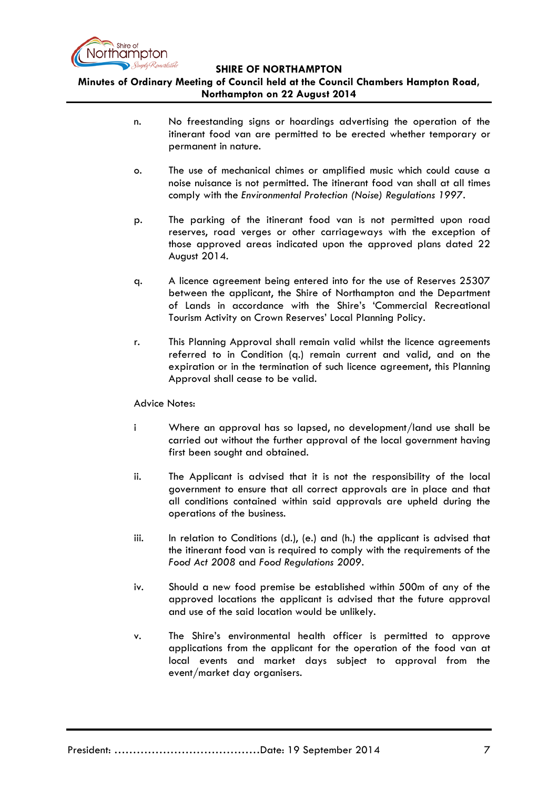

# **Minutes of Ordinary Meeting of Council held at the Council Chambers Hampton Road, Northampton on 22 August 2014**

- n. No freestanding signs or hoardings advertising the operation of the itinerant food van are permitted to be erected whether temporary or permanent in nature.
- o. The use of mechanical chimes or amplified music which could cause a noise nuisance is not permitted. The itinerant food van shall at all times comply with the *Environmental Protection (Noise) Regulations 1997.*
- p. The parking of the itinerant food van is not permitted upon road reserves, road verges or other carriageways with the exception of those approved areas indicated upon the approved plans dated 22 August 2014.
- q. A licence agreement being entered into for the use of Reserves 25307 between the applicant, the Shire of Northampton and the Department of Lands in accordance with the Shire's 'Commercial Recreational Tourism Activity on Crown Reserves' Local Planning Policy.
- r. This Planning Approval shall remain valid whilst the licence agreements referred to in Condition (q.) remain current and valid, and on the expiration or in the termination of such licence agreement, this Planning Approval shall cease to be valid.

#### Advice Notes:

- i Where an approval has so lapsed, no development/land use shall be carried out without the further approval of the local government having first been sought and obtained.
- ii. The Applicant is advised that it is not the responsibility of the local government to ensure that all correct approvals are in place and that all conditions contained within said approvals are upheld during the operations of the business.
- iii. In relation to Conditions (d.), (e.) and (h.) the applicant is advised that the itinerant food van is required to comply with the requirements of the *Food Act 2008* and *Food Regulations 2009.*
- iv. Should a new food premise be established within 500m of any of the approved locations the applicant is advised that the future approval and use of the said location would be unlikely.
- v. The Shire's environmental health officer is permitted to approve applications from the applicant for the operation of the food van at local events and market days subject to approval from the event/market day organisers.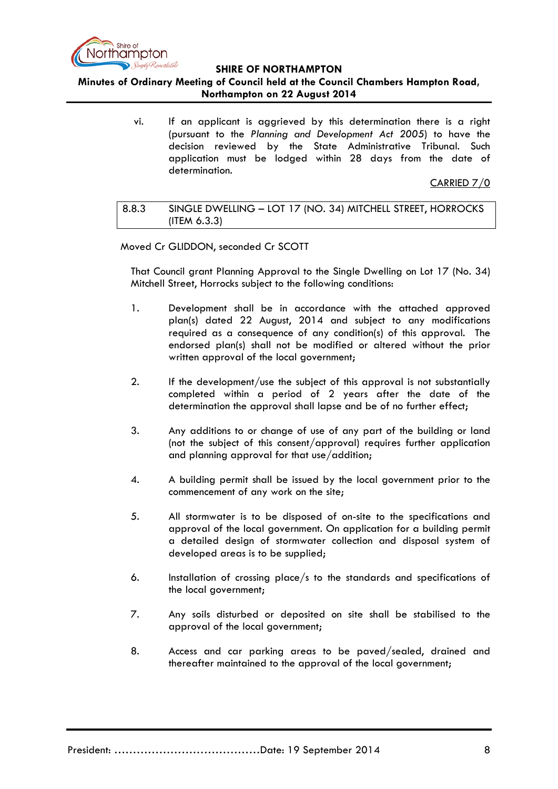

### **Minutes of Ordinary Meeting of Council held at the Council Chambers Hampton Road, Northampton on 22 August 2014**

vi. If an applicant is aggrieved by this determination there is a right (pursuant to the *Planning and Development Act 2005*) to have the decision reviewed by the State Administrative Tribunal. Such application must be lodged within 28 days from the date of determination.

CARRIED 7/0

### <span id="page-7-0"></span>8.8.3 SINGLE DWELLING – LOT 17 (NO. 34) MITCHELL STREET, HORROCKS (ITEM 6.3.3)

### Moved Cr GLIDDON, seconded Cr SCOTT

That Council grant Planning Approval to the Single Dwelling on Lot 17 (No. 34) Mitchell Street, Horrocks subject to the following conditions:

- 1. Development shall be in accordance with the attached approved plan(s) dated 22 August, 2014 and subject to any modifications required as a consequence of any condition(s) of this approval. The endorsed plan(s) shall not be modified or altered without the prior written approval of the local government;
- 2. If the development/use the subject of this approval is not substantially completed within a period of 2 years after the date of the determination the approval shall lapse and be of no further effect;
- 3. Any additions to or change of use of any part of the building or land (not the subject of this consent/approval) requires further application and planning approval for that use/addition;
- 4. A building permit shall be issued by the local government prior to the commencement of any work on the site;
- 5. All stormwater is to be disposed of on-site to the specifications and approval of the local government. On application for a building permit a detailed design of stormwater collection and disposal system of developed areas is to be supplied;
- 6. Installation of crossing place/s to the standards and specifications of the local government;
- 7. Any soils disturbed or deposited on site shall be stabilised to the approval of the local government;
- 8. Access and car parking areas to be paved/sealed, drained and thereafter maintained to the approval of the local government;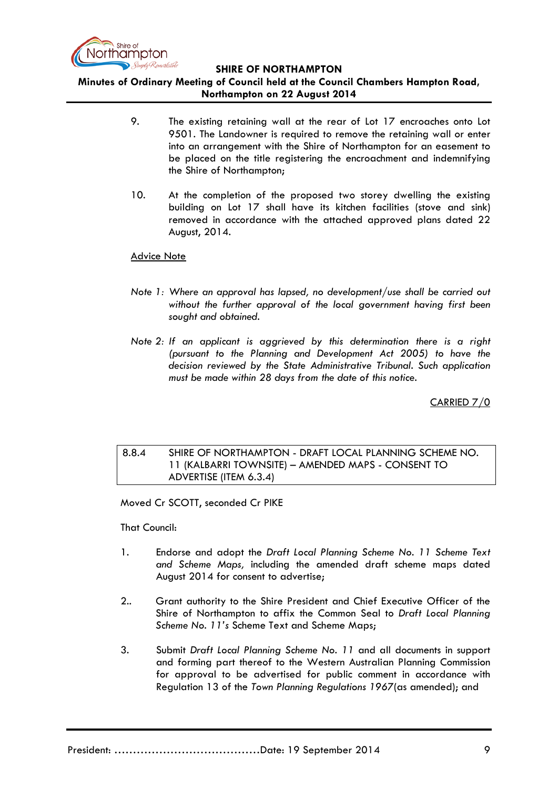

**Minutes of Ordinary Meeting of Council held at the Council Chambers Hampton Road, Northampton on 22 August 2014**

- 9. The existing retaining wall at the rear of Lot 17 encroaches onto Lot 9501. The Landowner is required to remove the retaining wall or enter into an arrangement with the Shire of Northampton for an easement to be placed on the title registering the encroachment and indemnifying the Shire of Northampton;
- 10. At the completion of the proposed two storey dwelling the existing building on Lot 17 shall have its kitchen facilities (stove and sink) removed in accordance with the attached approved plans dated 22 August, 2014.

### Advice Note

- *Note 1: Where an approval has lapsed, no development/use shall be carried out without the further approval of the local government having first been sought and obtained.*
- *Note 2: If an applicant is aggrieved by this determination there is a right (pursuant to the Planning and Development Act 2005) to have the decision reviewed by the State Administrative Tribunal. Such application must be made within 28 days from the date of this notice.*

CARRIED 7/0

### <span id="page-8-0"></span>8.8.4 SHIRE OF NORTHAMPTON - DRAFT LOCAL PLANNING SCHEME NO. 11 (KALBARRI TOWNSITE) – AMENDED MAPS - CONSENT TO ADVERTISE (ITEM 6.3.4)

Moved Cr SCOTT, seconded Cr PIKE

That Council:

- 1. Endorse and adopt the *Draft Local Planning Scheme No. 11 Scheme Text and Scheme Maps,* including the amended draft scheme maps dated August 2014 for consent to advertise;
- 2.. Grant authority to the Shire President and Chief Executive Officer of the Shire of Northampton to affix the Common Seal to *Draft Local Planning Scheme No. 11's* Scheme Text and Scheme Maps;
- 3. Submit *Draft Local Planning Scheme No. 11* and all documents in support and forming part thereof to the Western Australian Planning Commission for approval to be advertised for public comment in accordance with Regulation 13 of the *Town Planning Regulations 1967*(as amended); and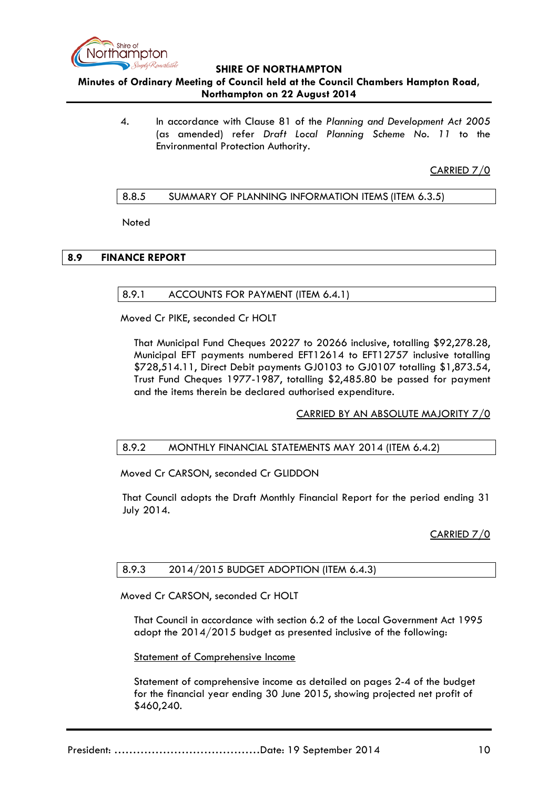

### **Minutes of Ordinary Meeting of Council held at the Council Chambers Hampton Road, Northampton on 22 August 2014**

4. In accordance with Clause 81 of the *Planning and Development Act 2005* (as amended) refer *Draft Local Planning Scheme No. 11* to the Environmental Protection Authority.

CARRIED 7/0

### <span id="page-9-0"></span>8.8.5 SUMMARY OF PLANNING INFORMATION ITEMS (ITEM 6.3.5)

Noted

### <span id="page-9-2"></span><span id="page-9-1"></span>**8.9 FINANCE REPORT**

### 8.9.1 ACCOUNTS FOR PAYMENT (ITEM 6.4.1)

Moved Cr PIKE, seconded Cr HOLT

That Municipal Fund Cheques 20227 to 20266 inclusive, totalling \$92,278.28, Municipal EFT payments numbered EFT12614 to EFT12757 inclusive totalling \$728,514.11, Direct Debit payments GJ0103 to GJ0107 totalling \$1,873.54, Trust Fund Cheques 1977-1987, totalling \$2,485.80 be passed for payment and the items therein be declared authorised expenditure.

CARRIED BY AN ABSOLUTE MAJORITY 7/0

### <span id="page-9-3"></span>8.9.2 MONTHLY FINANCIAL STATEMENTS MAY 2014 (ITEM 6.4.2)

Moved Cr CARSON, seconded Cr GLIDDON

That Council adopts the Draft Monthly Financial Report for the period ending 31 July 2014.

CARRIED 7/0

#### <span id="page-9-4"></span>8.9.3 2014/2015 BUDGET ADOPTION (ITEM 6.4.3)

Moved Cr CARSON, seconded Cr HOLT

That Council in accordance with section 6.2 of the Local Government Act 1995 adopt the 2014/2015 budget as presented inclusive of the following:

Statement of Comprehensive Income

Statement of comprehensive income as detailed on pages 2-4 of the budget for the financial year ending 30 June 2015, showing projected net profit of \$460,240.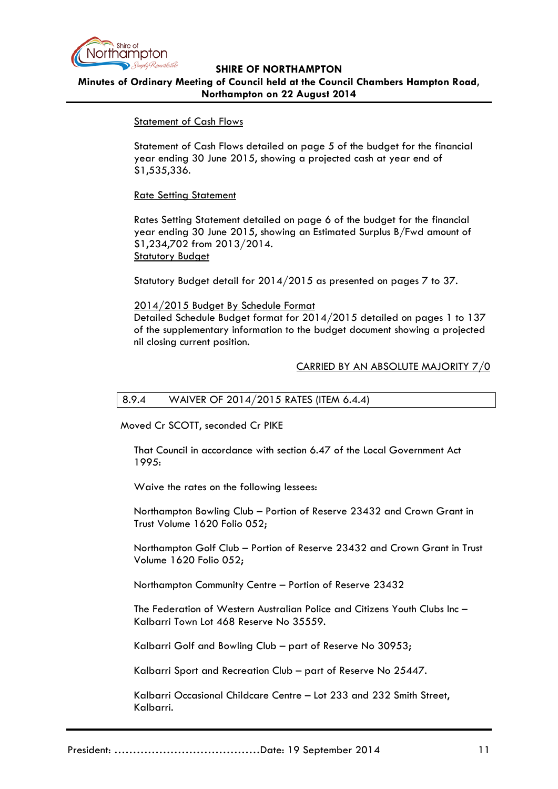

### Statement of Cash Flows

Statement of Cash Flows detailed on page 5 of the budget for the financial year ending 30 June 2015, showing a projected cash at year end of \$1,535,336.

### Rate Setting Statement

Rates Setting Statement detailed on page 6 of the budget for the financial year ending 30 June 2015, showing an Estimated Surplus B/Fwd amount of \$1,234,702 from 2013/2014. Statutory Budget

Statutory Budget detail for 2014/2015 as presented on pages 7 to 37.

### 2014/2015 Budget By Schedule Format

Detailed Schedule Budget format for 2014/2015 detailed on pages 1 to 137 of the supplementary information to the budget document showing a projected nil closing current position.

### CARRIED BY AN ABSOLUTE MAJORITY 7/0

#### <span id="page-10-0"></span>8.9.4 WAIVER OF 2014/2015 RATES (ITEM 6.4.4)

Moved Cr SCOTT, seconded Cr PIKE

That Council in accordance with section 6.47 of the Local Government Act 1995:

Waive the rates on the following lessees:

Northampton Bowling Club – Portion of Reserve 23432 and Crown Grant in Trust Volume 1620 Folio 052;

Northampton Golf Club – Portion of Reserve 23432 and Crown Grant in Trust Volume 1620 Folio 052;

Northampton Community Centre – Portion of Reserve 23432

The Federation of Western Australian Police and Citizens Youth Clubs Inc – Kalbarri Town Lot 468 Reserve No 35559.

Kalbarri Golf and Bowling Club – part of Reserve No 30953;

Kalbarri Sport and Recreation Club – part of Reserve No 25447.

Kalbarri Occasional Childcare Centre – Lot 233 and 232 Smith Street, Kalbarri.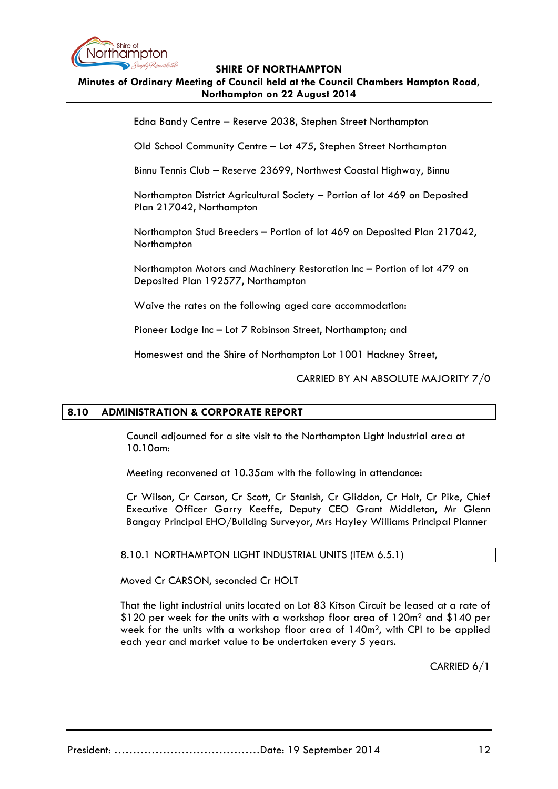

# **Minutes of Ordinary Meeting of Council held at the Council Chambers Hampton Road, Northampton on 22 August 2014**

Edna Bandy Centre – Reserve 2038, Stephen Street Northampton

Old School Community Centre – Lot 475, Stephen Street Northampton

Binnu Tennis Club – Reserve 23699, Northwest Coastal Highway, Binnu

Northampton District Agricultural Society – Portion of lot 469 on Deposited Plan 217042, Northampton

Northampton Stud Breeders – Portion of lot 469 on Deposited Plan 217042, **Northampton** 

Northampton Motors and Machinery Restoration Inc – Portion of lot 479 on Deposited Plan 192577, Northampton

Waive the rates on the following aged care accommodation:

Pioneer Lodge Inc – Lot 7 Robinson Street, Northampton; and

Homeswest and the Shire of Northampton Lot 1001 Hackney Street,

#### CARRIED BY AN ABSOLUTE MAJORITY 7/0

### <span id="page-11-0"></span>**8.10 ADMINISTRATION & CORPORATE REPORT**

Council adjourned for a site visit to the Northampton Light Industrial area at 10.10am:

Meeting reconvened at 10.35am with the following in attendance:

Cr Wilson, Cr Carson, Cr Scott, Cr Stanish, Cr Gliddon, Cr Holt, Cr Pike, Chief Executive Officer Garry Keeffe, Deputy CEO Grant Middleton, Mr Glenn Bangay Principal EHO/Building Surveyor, Mrs Hayley Williams Principal Planner

#### <span id="page-11-1"></span>8.10.1 NORTHAMPTON LIGHT INDUSTRIAL UNITS (ITEM 6.5.1)

Moved Cr CARSON, seconded Cr HOLT

That the light industrial units located on Lot 83 Kitson Circuit be leased at a rate of \$120 per week for the units with a workshop floor area of 120m² and \$140 per week for the units with a workshop floor area of 140m², with CPI to be applied each year and market value to be undertaken every 5 years.

CARRIED 6/1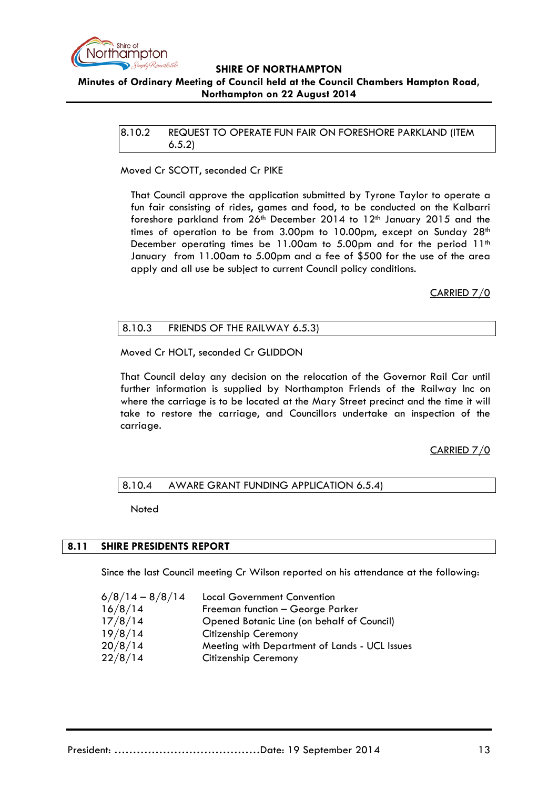

<span id="page-12-0"></span>8.10.2 REQUEST TO OPERATE FUN FAIR ON FORESHORE PARKLAND (ITEM 6.5.2)

### Moved Cr SCOTT, seconded Cr PIKE

That Council approve the application submitted by Tyrone Taylor to operate a fun fair consisting of rides, games and food, to be conducted on the Kalbarri foreshore parkland from 26<sup>th</sup> December 2014 to 12<sup>th</sup> January 2015 and the times of operation to be from 3.00pm to 10.00pm, except on Sunday 28<sup>th</sup> December operating times be 11.00am to 5.00pm and for the period  $11<sup>th</sup>$ January from 11.00am to 5.00pm and a fee of \$500 for the use of the area apply and all use be subject to current Council policy conditions.

CARRIED 7/0

### <span id="page-12-1"></span>8.10.3 FRIENDS OF THE RAILWAY 6.5.3)

Moved Cr HOLT, seconded Cr GLIDDON

That Council delay any decision on the relocation of the Governor Rail Car until further information is supplied by Northampton Friends of the Railway Inc on where the carriage is to be located at the Mary Street precinct and the time it will take to restore the carriage, and Councillors undertake an inspection of the carriage.

### CARRIED 7/0

#### <span id="page-12-2"></span>8.10.4 AWARE GRANT FUNDING APPLICATION 6.5.4)

**Noted** 

#### <span id="page-12-3"></span>**8.11 SHIRE PRESIDENTS REPORT**

Since the last Council meeting Cr Wilson reported on his attendance at the following:

| $6/8/14 - 8/8/14$ | <b>Local Government Convention</b>            |
|-------------------|-----------------------------------------------|
| 16/8/14           | Freeman function - George Parker              |
| 17/8/14           | Opened Botanic Line (on behalf of Council)    |
| 19/8/14           | Citizenship Ceremony                          |
| 20/8/14           | Meeting with Department of Lands - UCL Issues |
| 22/8/14           | Citizenship Ceremony                          |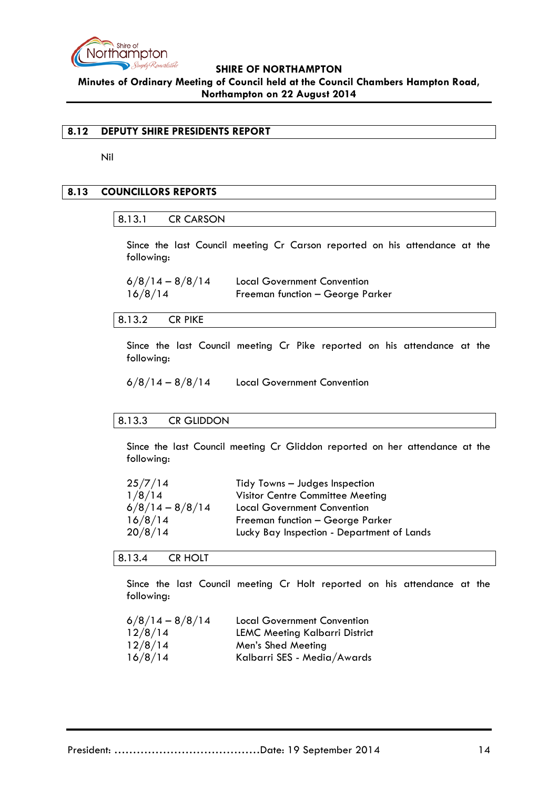

### <span id="page-13-0"></span>**8.12 DEPUTY SHIRE PRESIDENTS REPORT**

Nil

### <span id="page-13-2"></span><span id="page-13-1"></span>**8.13 COUNCILLORS REPORTS**

8.13.1 CR CARSON

Since the last Council meeting Cr Carson reported on his attendance at the following:

 $6/8/14 - 8/8/14$  Local Government Convention 16/8/14 Freeman function – George Parker

<span id="page-13-3"></span>8.13.2 CR PIKE

Since the last Council meeting Cr Pike reported on his attendance at the following:

 $6/8/14 - 8/8/14$  Local Government Convention

#### <span id="page-13-4"></span>8.13.3 CR GLIDDON

Since the last Council meeting Cr Gliddon reported on her attendance at the following:

| 25/7/14           | Tidy Towns - Judges Inspection             |
|-------------------|--------------------------------------------|
| 1/8/14            | Visitor Centre Committee Meeting           |
| $6/8/14 - 8/8/14$ | <b>Local Government Convention</b>         |
| 16/8/14           | Freeman function - George Parker           |
| 20/8/14           | Lucky Bay Inspection - Department of Lands |

<span id="page-13-5"></span>8.13.4 CR HOLT

Since the last Council meeting Cr Holt reported on his attendance at the following:

| $6/8/14 - 8/8/14$ | <b>Local Government Convention</b>    |
|-------------------|---------------------------------------|
| 12/8/14           | <b>LEMC Meeting Kalbarri District</b> |
| 12/8/14           | Men's Shed Meeting                    |
| 16/8/14           | Kalbarri SES - Media/Awards           |